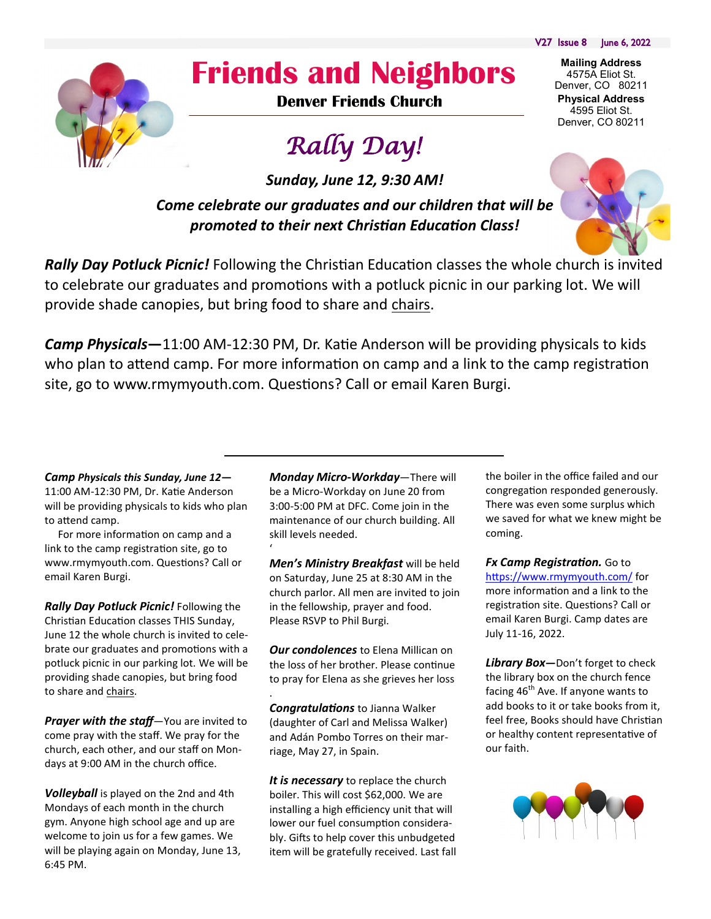V27 Issue 8 June 6, 2022

**Mailing Address** 4575A Eliot St. Denver, CO 80211 **Physical Address** 4595 Eliot St. Denver, CO 80211



## **Friends and Neighbors**

**Denver Friends Church**

# *Rally Day!*

*Sunday, June 12, 9:30 AM!*

*Come celebrate our graduates and our children that will be promoted to their next Christian Education Class!*



*Rally Day Potluck Picnic!* Following the Christian Education classes the whole church is invited to celebrate our graduates and promotions with a potluck picnic in our parking lot. We will provide shade canopies, but bring food to share and chairs.

*Camp Physicals***—**11:00 AM-12:30 PM, Dr. Katie Anderson will be providing physicals to kids who plan to attend camp. For more information on camp and a link to the camp registration site, go to www.rmymyouth.com. Questions? Call or email Karen Burgi.

*Camp Physicals this Sunday, June 12***—** 11:00 AM-12:30 PM, Dr. Katie Anderson will be providing physicals to kids who plan to attend camp.

 For more information on camp and a link to the camp registration site, go to www.rmymyouth.com. Questions? Call or email Karen Burgi.

*Rally Day Potluck Picnic!* Following the Christian Education classes THIS Sunday, June 12 the whole church is invited to celebrate our graduates and promotions with a potluck picnic in our parking lot. We will be providing shade canopies, but bring food to share and chairs.

*Prayer with the staff*—You are invited to come pray with the staff. We pray for the church, each other, and our staff on Mondays at 9:00 AM in the church office.

*Volleyball* is played on the 2nd and 4th Mondays of each month in the church gym. Anyone high school age and up are welcome to join us for a few games. We will be playing again on Monday, June 13, 6:45 PM.

*Monday Micro-Workday*—There will be a Micro-Workday on June 20 from 3:00-5:00 PM at DFC. Come join in the maintenance of our church building. All skill levels needed.

'

.

*Men's Ministry Breakfast* will be held on Saturday, June 25 at 8:30 AM in the church parlor. All men are invited to join in the fellowship, prayer and food. Please RSVP to Phil Burgi.

*Our condolences* to Elena Millican on the loss of her brother. Please continue to pray for Elena as she grieves her loss

*Congratulations* to Jianna Walker (daughter of Carl and Melissa Walker) and Adán Pombo Torres on their marriage, May 27, in Spain.

*It is necessary* to replace the church boiler. This will cost \$62,000. We are installing a high efficiency unit that will lower our fuel consumption considerably. Gifts to help cover this unbudgeted item will be gratefully received. Last fall the boiler in the office failed and our congregation responded generously. There was even some surplus which we saved for what we knew might be coming.

*Fx Camp Registration.* Go to <https://www.rmymyouth.com/> for more information and a link to the registration site. Questions? Call or email Karen Burgi. Camp dates are July 11-16, 2022.

*Library Box—*Don't forget to check the library box on the church fence facing  $46<sup>th</sup>$  Ave. If anyone wants to add books to it or take books from it, feel free, Books should have Christian or healthy content representative of our faith.